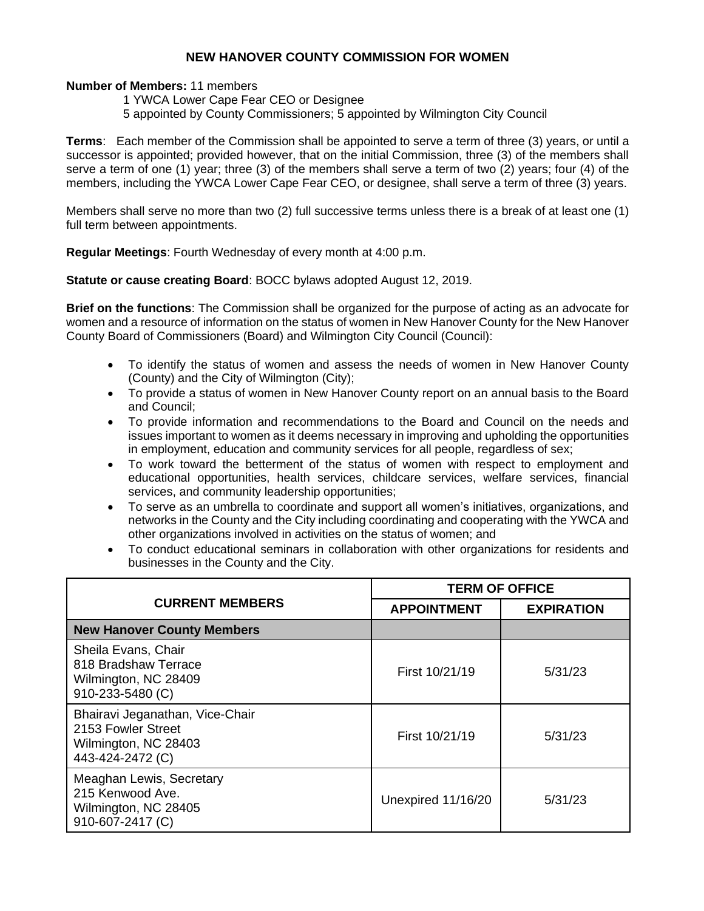## **NEW HANOVER COUNTY COMMISSION FOR WOMEN**

## **Number of Members:** 11 members

- 1 YWCA Lower Cape Fear CEO or Designee
- 5 appointed by County Commissioners; 5 appointed by Wilmington City Council

**Terms**: Each member of the Commission shall be appointed to serve a term of three (3) years, or until a successor is appointed; provided however, that on the initial Commission, three (3) of the members shall serve a term of one (1) year; three (3) of the members shall serve a term of two (2) years; four (4) of the members, including the YWCA Lower Cape Fear CEO, or designee, shall serve a term of three (3) years.

Members shall serve no more than two (2) full successive terms unless there is a break of at least one (1) full term between appointments.

**Regular Meetings**: Fourth Wednesday of every month at 4:00 p.m.

**Statute or cause creating Board**: BOCC bylaws adopted August 12, 2019.

**Brief on the functions**: The Commission shall be organized for the purpose of acting as an advocate for women and a resource of information on the status of women in New Hanover County for the New Hanover County Board of Commissioners (Board) and Wilmington City Council (Council):

- To identify the status of women and assess the needs of women in New Hanover County (County) and the City of Wilmington (City);
- To provide a status of women in New Hanover County report on an annual basis to the Board and Council;
- To provide information and recommendations to the Board and Council on the needs and issues important to women as it deems necessary in improving and upholding the opportunities in employment, education and community services for all people, regardless of sex;
- To work toward the betterment of the status of women with respect to employment and educational opportunities, health services, childcare services, welfare services, financial services, and community leadership opportunities;
- To serve as an umbrella to coordinate and support all women's initiatives, organizations, and networks in the County and the City including coordinating and cooperating with the YWCA and other organizations involved in activities on the status of women; and
- To conduct educational seminars in collaboration with other organizations for residents and businesses in the County and the City.

|                                                                                                   | <b>TERM OF OFFICE</b> |                   |
|---------------------------------------------------------------------------------------------------|-----------------------|-------------------|
| <b>CURRENT MEMBERS</b>                                                                            | <b>APPOINTMENT</b>    | <b>EXPIRATION</b> |
| <b>New Hanover County Members</b>                                                                 |                       |                   |
| Sheila Evans, Chair<br>818 Bradshaw Terrace<br>Wilmington, NC 28409<br>910-233-5480 (C)           | First 10/21/19        | 5/31/23           |
| Bhairavi Jeganathan, Vice-Chair<br>2153 Fowler Street<br>Wilmington, NC 28403<br>443-424-2472 (C) | First 10/21/19        | 5/31/23           |
| Meaghan Lewis, Secretary<br>215 Kenwood Ave.<br>Wilmington, NC 28405<br>910-607-2417 (C)          | Unexpired 11/16/20    | 5/31/23           |